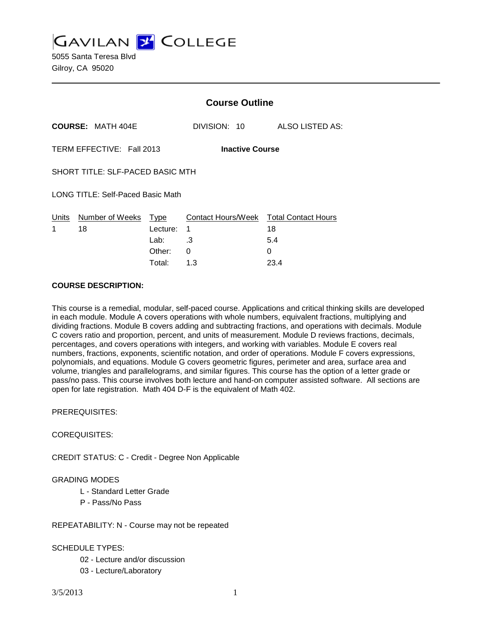**GAVILAN 2 COLLEGE** 

5055 Santa Teresa Blvd Gilroy, CA 95020

|                                                     |                          | <b>Course Outline</b> |                                             |                 |
|-----------------------------------------------------|--------------------------|-----------------------|---------------------------------------------|-----------------|
|                                                     | <b>COURSE: MATH 404E</b> |                       | DIVISION: 10                                | ALSO LISTED AS: |
| TERM EFFECTIVE: Fall 2013<br><b>Inactive Course</b> |                          |                       |                                             |                 |
| SHORT TITLE: SLF-PACED BASIC MTH                    |                          |                       |                                             |                 |
| LONG TITLE: Self-Paced Basic Math                   |                          |                       |                                             |                 |
| Units<br>1                                          | Number of Weeks<br>18    | Type<br>Lecture:      | Contact Hours/Week Total Contact Hours<br>1 | 18              |
|                                                     |                          | Lab:                  | .3                                          | 5.4             |
|                                                     |                          | Other:                | 0                                           | 0               |

Total: 1.3 23.4

#### **COURSE DESCRIPTION:**

This course is a remedial, modular, self-paced course. Applications and critical thinking skills are developed in each module. Module A covers operations with whole numbers, equivalent fractions, multiplying and dividing fractions. Module B covers adding and subtracting fractions, and operations with decimals. Module C covers ratio and proportion, percent, and units of measurement. Module D reviews fractions, decimals, percentages, and covers operations with integers, and working with variables. Module E covers real numbers, fractions, exponents, scientific notation, and order of operations. Module F covers expressions, polynomials, and equations. Module G covers geometric figures, perimeter and area, surface area and volume, triangles and parallelograms, and similar figures. This course has the option of a letter grade or pass/no pass. This course involves both lecture and hand-on computer assisted software. All sections are open for late registration. Math 404 D-F is the equivalent of Math 402.

PREREQUISITES:

COREQUISITES:

CREDIT STATUS: C - Credit - Degree Non Applicable

#### GRADING MODES

- L Standard Letter Grade
- P Pass/No Pass

REPEATABILITY: N - Course may not be repeated

#### SCHEDULE TYPES:

- 02 Lecture and/or discussion
- 03 Lecture/Laboratory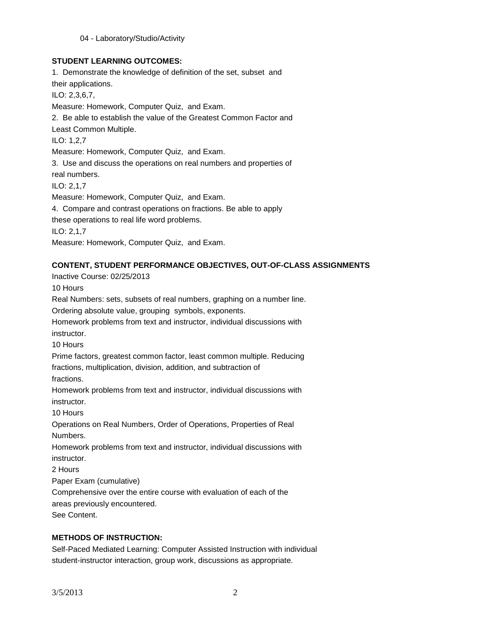## **STUDENT LEARNING OUTCOMES:**

1. Demonstrate the knowledge of definition of the set, subset and their applications. ILO: 2,3,6,7, Measure: Homework, Computer Quiz, and Exam. 2. Be able to establish the value of the Greatest Common Factor and Least Common Multiple. ILO: 1,2,7 Measure: Homework, Computer Quiz, and Exam. 3. Use and discuss the operations on real numbers and properties of real numbers. ILO: 2,1,7 Measure: Homework, Computer Quiz, and Exam. 4. Compare and contrast operations on fractions. Be able to apply these operations to real life word problems. ILO: 2,1,7 Measure: Homework, Computer Quiz, and Exam.

## **CONTENT, STUDENT PERFORMANCE OBJECTIVES, OUT-OF-CLASS ASSIGNMENTS**

Inactive Course: 02/25/2013 10 Hours Real Numbers: sets, subsets of real numbers, graphing on a number line. Ordering absolute value, grouping symbols, exponents. Homework problems from text and instructor, individual discussions with instructor. 10 Hours Prime factors, greatest common factor, least common multiple. Reducing fractions, multiplication, division, addition, and subtraction of fractions. Homework problems from text and instructor, individual discussions with instructor. 10 Hours Operations on Real Numbers, Order of Operations, Properties of Real Numbers. Homework problems from text and instructor, individual discussions with instructor. 2 Hours Paper Exam (cumulative) Comprehensive over the entire course with evaluation of each of the areas previously encountered. See Content.

### **METHODS OF INSTRUCTION:**

Self-Paced Mediated Learning: Computer Assisted Instruction with individual student-instructor interaction, group work, discussions as appropriate.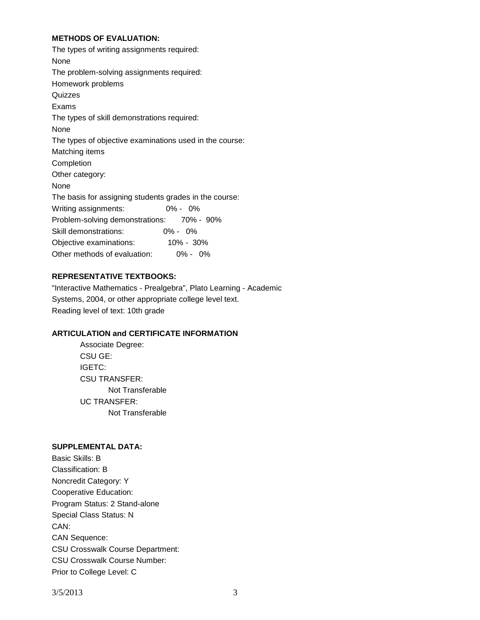### **METHODS OF EVALUATION:**

| The types of writing assignments required:<br>None      |  |  |  |  |
|---------------------------------------------------------|--|--|--|--|
| The problem-solving assignments required:               |  |  |  |  |
| Homework problems                                       |  |  |  |  |
| Quizzes                                                 |  |  |  |  |
| Exams                                                   |  |  |  |  |
| The types of skill demonstrations required:             |  |  |  |  |
| None                                                    |  |  |  |  |
| The types of objective examinations used in the course: |  |  |  |  |
| Matching items                                          |  |  |  |  |
| Completion                                              |  |  |  |  |
| Other category:                                         |  |  |  |  |
| None                                                    |  |  |  |  |
| The basis for assigning students grades in the course:  |  |  |  |  |
| Writing assignments:<br>$0\% - 0\%$                     |  |  |  |  |
| Problem-solving demonstrations: 70% - 90%               |  |  |  |  |
| $0\% - 0\%$<br>Skill demonstrations:                    |  |  |  |  |
| Objective examinations:<br>$10\% - 30\%$                |  |  |  |  |
| Other methods of evaluation:<br>$0\% - 0\%$             |  |  |  |  |

# **REPRESENTATIVE TEXTBOOKS:**

"Interactive Mathematics - Prealgebra", Plato Learning - Academic Systems, 2004, or other appropriate college level text. Reading level of text: 10th grade

### **ARTICULATION and CERTIFICATE INFORMATION**

Associate Degree: CSU GE: IGETC: CSU TRANSFER: Not Transferable UC TRANSFER: Not Transferable

### **SUPPLEMENTAL DATA:**

Basic Skills: B Classification: B Noncredit Category: Y Cooperative Education: Program Status: 2 Stand-alone Special Class Status: N CAN: CAN Sequence: CSU Crosswalk Course Department: CSU Crosswalk Course Number: Prior to College Level: C